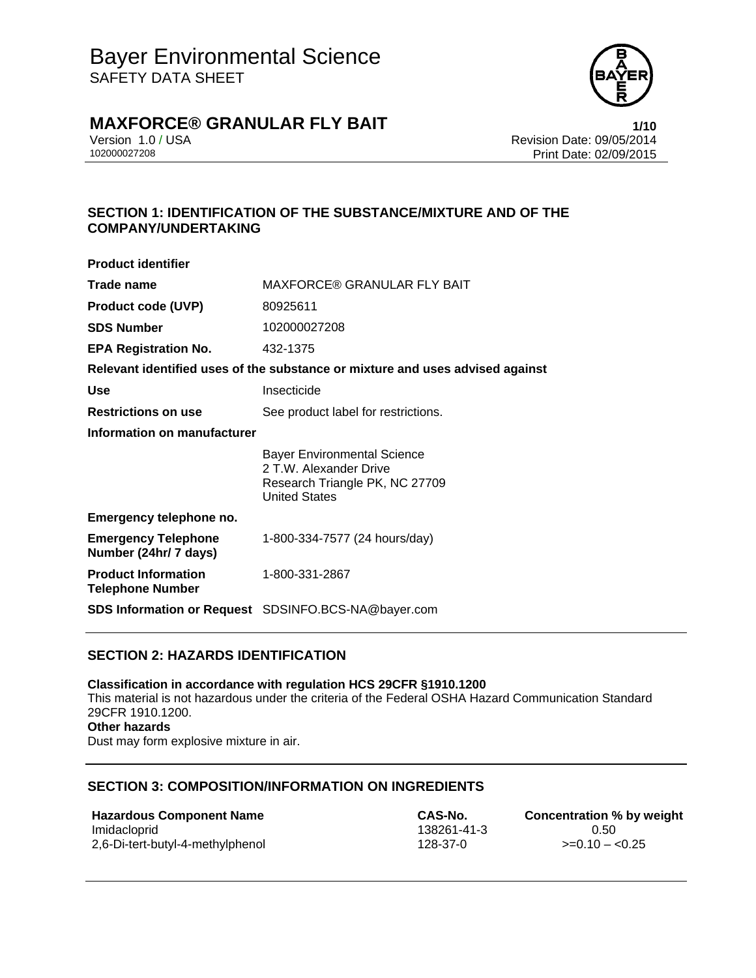

# **MAXFORCE® GRANULAR FLY BAIT 1/10**

Version 1.0 / USA Revision Date: 09/05/2014<br>102000027208 Print Date: 09/05/2014 Print Date: 02/09/2015

## **SECTION 1: IDENTIFICATION OF THE SUBSTANCE/MIXTURE AND OF THE COMPANY/UNDERTAKING**

| <b>Product identifier</b>                             |                                                                                                                        |  |
|-------------------------------------------------------|------------------------------------------------------------------------------------------------------------------------|--|
| Trade name                                            | MAXFORCE® GRANULAR FLY BAIT                                                                                            |  |
| <b>Product code (UVP)</b>                             | 80925611                                                                                                               |  |
| <b>SDS Number</b>                                     | 102000027208                                                                                                           |  |
| <b>EPA Registration No.</b>                           | 432-1375                                                                                                               |  |
|                                                       | Relevant identified uses of the substance or mixture and uses advised against                                          |  |
| <b>Use</b>                                            | Insecticide                                                                                                            |  |
| <b>Restrictions on use</b>                            | See product label for restrictions.                                                                                    |  |
| Information on manufacturer                           |                                                                                                                        |  |
|                                                       | <b>Bayer Environmental Science</b><br>2 T.W. Alexander Drive<br>Research Triangle PK, NC 27709<br><b>United States</b> |  |
| Emergency telephone no.                               |                                                                                                                        |  |
| <b>Emergency Telephone</b><br>Number (24hr/ 7 days)   | 1-800-334-7577 (24 hours/day)                                                                                          |  |
| <b>Product Information</b><br><b>Telephone Number</b> | 1-800-331-2867                                                                                                         |  |
|                                                       | SDS Information or Request SDSINFO.BCS-NA@bayer.com                                                                    |  |

## **SECTION 2: HAZARDS IDENTIFICATION**

**Classification in accordance with regulation HCS 29CFR §1910.1200**  This material is not hazardous under the criteria of the Federal OSHA Hazard Communication Standard 29CFR 1910.1200. **Other hazards**  Dust may form explosive mixture in air.

#### **SECTION 3: COMPOSITION/INFORMATION ON INGREDIENTS**

**Hazardous Component Name CAS-No. Concentration % by weight** Imidacloprid 138261-41-3 0.50 2,6-Di-tert-butyl-4-methylphenol 128-37-0 >=0.10 – <0.25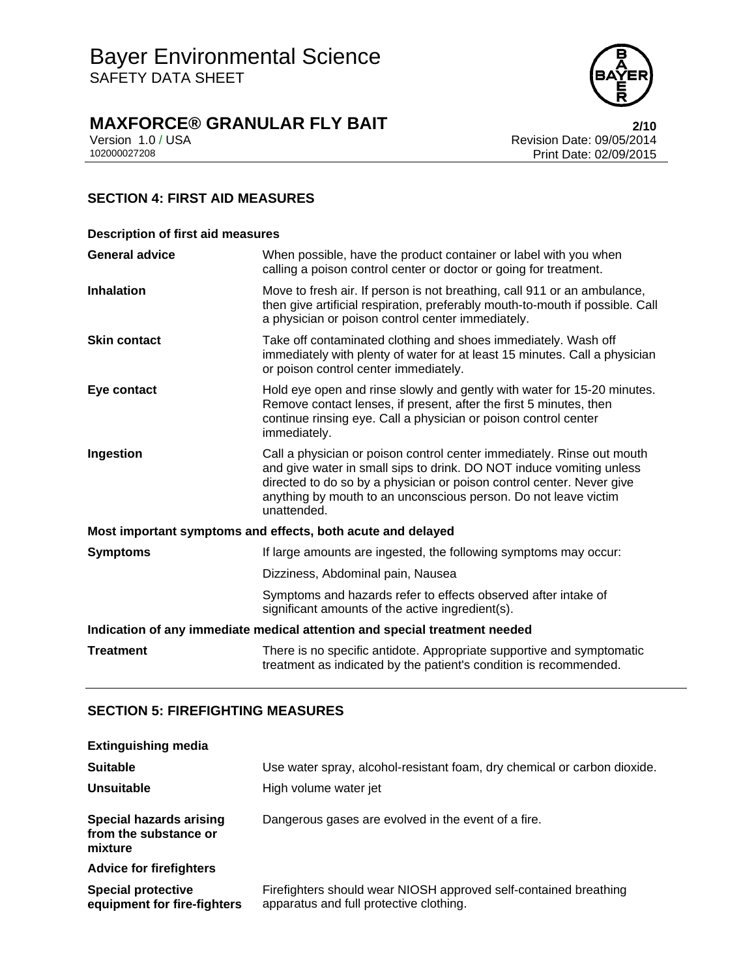

# **MAXFORCE® GRANULAR FLY BAIT**<br>Version 1.0 / USA **Property ACT** Revision Date: 09/05/2014

Version 1.0 / USA Revision Date: 09/05/2014<br>102000027208 Print Date: 02/09/2015 Print Date: 02/09/2015

## **SECTION 4: FIRST AID MEASURES**

| <b>Description of first aid measures</b>                                   |                                                                                                                                                                                                                                                                                                           |  |
|----------------------------------------------------------------------------|-----------------------------------------------------------------------------------------------------------------------------------------------------------------------------------------------------------------------------------------------------------------------------------------------------------|--|
| <b>General advice</b>                                                      | When possible, have the product container or label with you when<br>calling a poison control center or doctor or going for treatment.                                                                                                                                                                     |  |
| <b>Inhalation</b>                                                          | Move to fresh air. If person is not breathing, call 911 or an ambulance,<br>then give artificial respiration, preferably mouth-to-mouth if possible. Call<br>a physician or poison control center immediately.                                                                                            |  |
| <b>Skin contact</b>                                                        | Take off contaminated clothing and shoes immediately. Wash off<br>immediately with plenty of water for at least 15 minutes. Call a physician<br>or poison control center immediately.                                                                                                                     |  |
| Eye contact                                                                | Hold eye open and rinse slowly and gently with water for 15-20 minutes.<br>Remove contact lenses, if present, after the first 5 minutes, then<br>continue rinsing eye. Call a physician or poison control center<br>immediately.                                                                          |  |
| Ingestion                                                                  | Call a physician or poison control center immediately. Rinse out mouth<br>and give water in small sips to drink. DO NOT induce vomiting unless<br>directed to do so by a physician or poison control center. Never give<br>anything by mouth to an unconscious person. Do not leave victim<br>unattended. |  |
|                                                                            | Most important symptoms and effects, both acute and delayed                                                                                                                                                                                                                                               |  |
| <b>Symptoms</b>                                                            | If large amounts are ingested, the following symptoms may occur:                                                                                                                                                                                                                                          |  |
|                                                                            | Dizziness, Abdominal pain, Nausea                                                                                                                                                                                                                                                                         |  |
|                                                                            | Symptoms and hazards refer to effects observed after intake of<br>significant amounts of the active ingredient(s).                                                                                                                                                                                        |  |
| Indication of any immediate medical attention and special treatment needed |                                                                                                                                                                                                                                                                                                           |  |
| <b>Treatment</b>                                                           | There is no specific antidote. Appropriate supportive and symptomatic<br>treatment as indicated by the patient's condition is recommended.                                                                                                                                                                |  |

## **SECTION 5: FIREFIGHTING MEASURES**

| <b>Extinguishing media</b>                                         |                                                                                                             |
|--------------------------------------------------------------------|-------------------------------------------------------------------------------------------------------------|
| <b>Suitable</b>                                                    | Use water spray, alcohol-resistant foam, dry chemical or carbon dioxide.                                    |
| <b>Unsuitable</b>                                                  | High volume water jet                                                                                       |
| <b>Special hazards arising</b><br>from the substance or<br>mixture | Dangerous gases are evolved in the event of a fire.                                                         |
| <b>Advice for firefighters</b>                                     |                                                                                                             |
| <b>Special protective</b><br>equipment for fire-fighters           | Firefighters should wear NIOSH approved self-contained breathing<br>apparatus and full protective clothing. |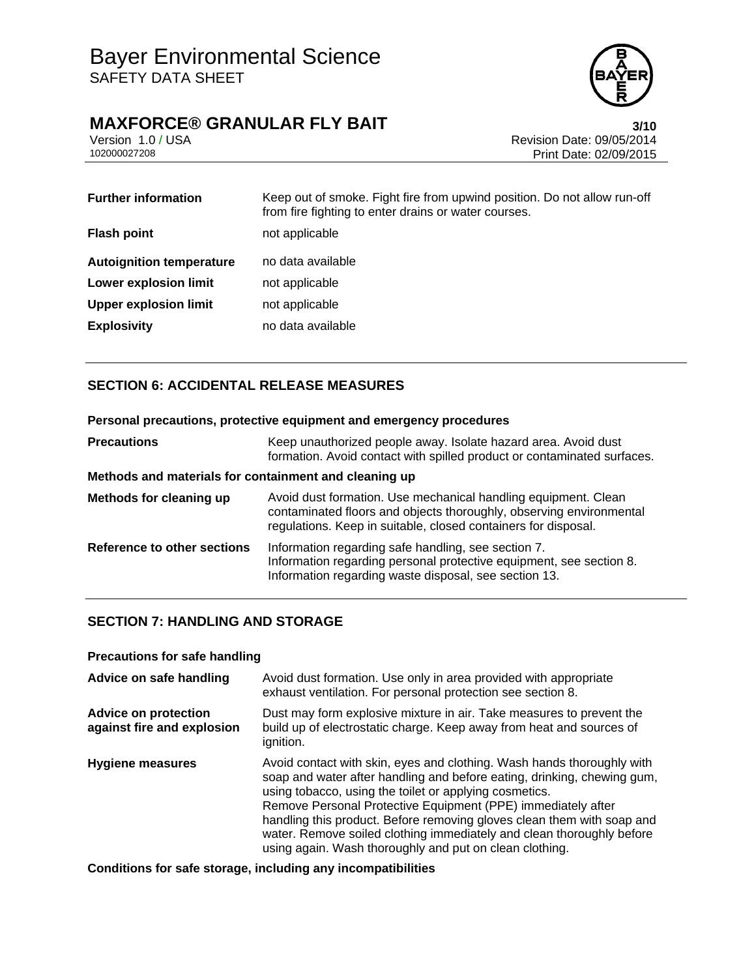## **MAXFORCE® GRANULAR FLY BAIT 1999 1200** 13/10

Version 1.0 / USA Revision Date: 09/05/2014<br>102000027208 Print Date: 09/05/2014 Print Date: 02/09/2015

| <b>Further information</b>      | Keep out of smoke. Fight fire from upwind position. Do not allow run-off<br>from fire fighting to enter drains or water courses. |
|---------------------------------|----------------------------------------------------------------------------------------------------------------------------------|
| <b>Flash point</b>              | not applicable                                                                                                                   |
| <b>Autoignition temperature</b> | no data available                                                                                                                |
| <b>Lower explosion limit</b>    | not applicable                                                                                                                   |
| <b>Upper explosion limit</b>    | not applicable                                                                                                                   |
| <b>Explosivity</b>              | no data available                                                                                                                |

## **SECTION 6: ACCIDENTAL RELEASE MEASURES**

## **Personal precautions, protective equipment and emergency procedures Precautions Keep unauthorized people away. Isolate hazard area. Avoid dust** formation. Avoid contact with spilled product or contaminated surfaces. **Methods and materials for containment and cleaning up Methods for cleaning up** Avoid dust formation. Use mechanical handling equipment. Clean contaminated floors and objects thoroughly, observing environmental regulations. Keep in suitable, closed containers for disposal. **Reference to other sections** Information regarding safe handling, see section 7. Information regarding personal protective equipment, see section 8. Information regarding waste disposal, see section 13.

## **SECTION 7: HANDLING AND STORAGE**

#### **Precautions for safe handling**

| Advice on safe handling                                   | Avoid dust formation. Use only in area provided with appropriate<br>exhaust ventilation. For personal protection see section 8.                                                                                                                                                                                                                                                                                                                                                           |
|-----------------------------------------------------------|-------------------------------------------------------------------------------------------------------------------------------------------------------------------------------------------------------------------------------------------------------------------------------------------------------------------------------------------------------------------------------------------------------------------------------------------------------------------------------------------|
| <b>Advice on protection</b><br>against fire and explosion | Dust may form explosive mixture in air. Take measures to prevent the<br>build up of electrostatic charge. Keep away from heat and sources of<br>ignition.                                                                                                                                                                                                                                                                                                                                 |
| Hygiene measures                                          | Avoid contact with skin, eyes and clothing. Wash hands thoroughly with<br>soap and water after handling and before eating, drinking, chewing gum,<br>using tobacco, using the toilet or applying cosmetics.<br>Remove Personal Protective Equipment (PPE) immediately after<br>handling this product. Before removing gloves clean them with soap and<br>water. Remove soiled clothing immediately and clean thoroughly before<br>using again. Wash thoroughly and put on clean clothing. |

**Conditions for safe storage, including any incompatibilities**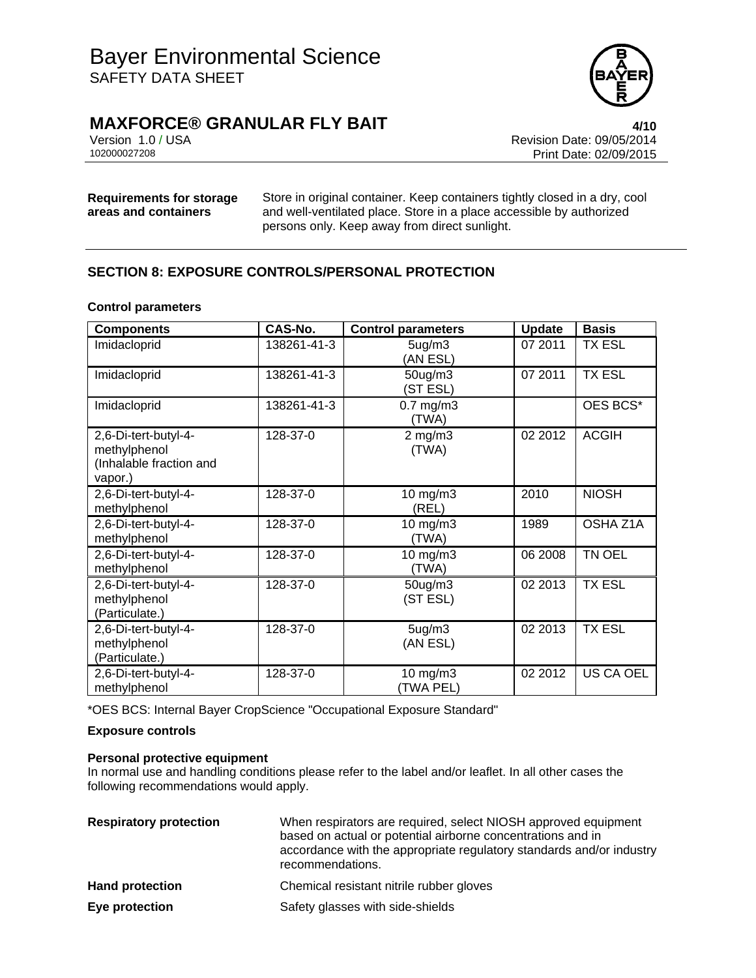

**MAXFORCE® GRANULAR FLY BAIT 4/10**

Version 1.0 / USA Revision Date: 09/05/2014<br>102000027208 Print Date: 09/05/2014 Print Date: 02/09/2015

## **Requirements for storage areas and containers**

Store in original container. Keep containers tightly closed in a dry, cool and well-ventilated place. Store in a place accessible by authorized persons only. Keep away from direct sunlight.

## **SECTION 8: EXPOSURE CONTROLS/PERSONAL PROTECTION**

#### **Control parameters**

| <b>Components</b>                                                          | CAS-No.     | <b>Control parameters</b>       | <b>Update</b> | <b>Basis</b>     |
|----------------------------------------------------------------------------|-------------|---------------------------------|---------------|------------------|
| Imidacloprid                                                               | 138261-41-3 | 5 <sub>ug</sub> /m3<br>(AN ESL) | 07 2011       | <b>TX ESL</b>    |
| Imidacloprid                                                               | 138261-41-3 | 50ug/m3<br>(ST ESL)             | 07 2011       | <b>TX ESL</b>    |
| Imidacloprid                                                               | 138261-41-3 | $0.7$ mg/m $3$<br>(TWA)         |               | OES BCS*         |
| 2,6-Di-tert-butyl-4-<br>methylphenol<br>(Inhalable fraction and<br>vapor.) | 128-37-0    | $2$ mg/m $3$<br>(TWA)           | 02 2012       | <b>ACGIH</b>     |
| 2,6-Di-tert-butyl-4-<br>methylphenol                                       | 128-37-0    | 10 mg/m3<br>(REL)               | 2010          | <b>NIOSH</b>     |
| 2,6-Di-tert-butyl-4-<br>methylphenol                                       | 128-37-0    | $10$ mg/m $3$<br>(TWA)          | 1989          | OSHA Z1A         |
| 2,6-Di-tert-butyl-4-<br>methylphenol                                       | 128-37-0    | $10$ mg/m $3$<br>(TWA)          | 06 2008       | TN OEL           |
| 2,6-Di-tert-butyl-4-<br>methylphenol<br>(Particulate.)                     | 128-37-0    | $50$ ug/m $3$<br>(ST ESL)       | 02 2013       | <b>TX ESL</b>    |
| 2,6-Di-tert-butyl-4-<br>methylphenol<br>(Particulate.)                     | 128-37-0    | 5 <sub>ug</sub> /m3<br>(AN ESL) | 02 2013       | <b>TX ESL</b>    |
| 2,6-Di-tert-butyl-4-<br>methylphenol                                       | 128-37-0    | $10$ mg/m $3$<br>(TWA PEL)      | 02 2012       | <b>US CA OEL</b> |

\*OES BCS: Internal Bayer CropScience "Occupational Exposure Standard"

#### **Exposure controls**

#### **Personal protective equipment**

In normal use and handling conditions please refer to the label and/or leaflet. In all other cases the following recommendations would apply.

| <b>Respiratory protection</b> | When respirators are required, select NIOSH approved equipment<br>based on actual or potential airborne concentrations and in<br>accordance with the appropriate regulatory standards and/or industry<br>recommendations. |
|-------------------------------|---------------------------------------------------------------------------------------------------------------------------------------------------------------------------------------------------------------------------|
| <b>Hand protection</b>        | Chemical resistant nitrile rubber gloves                                                                                                                                                                                  |
| Eye protection                | Safety glasses with side-shields                                                                                                                                                                                          |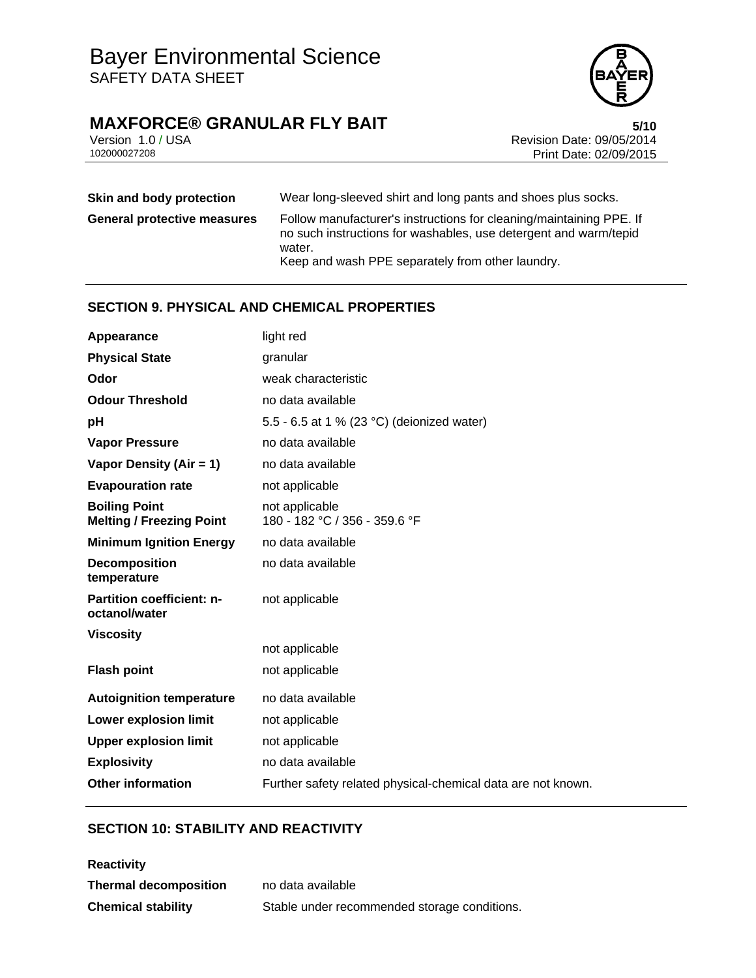# **MAXFORCE® GRANULAR FLY BAIT**<br>Version 1.0 / USA **bigger of the Case of the State: 09/05/2014**



Version 1.0 / USA Revision Date: 09/05/2014<br>102000027208 Print Date: 09/05/2015 Print Date: 02/09/2015

| Skin and body protection           | Wear long-sleeved shirt and long pants and shoes plus socks.                                                                                                                                          |
|------------------------------------|-------------------------------------------------------------------------------------------------------------------------------------------------------------------------------------------------------|
| <b>General protective measures</b> | Follow manufacturer's instructions for cleaning/maintaining PPE. If<br>no such instructions for washables, use detergent and warm/tepid<br>water.<br>Keep and wash PPE separately from other laundry. |

## **SECTION 9. PHYSICAL AND CHEMICAL PROPERTIES**

| Appearance                                              | light red                                                    |
|---------------------------------------------------------|--------------------------------------------------------------|
| <b>Physical State</b>                                   | granular                                                     |
| Odor                                                    | weak characteristic                                          |
| <b>Odour Threshold</b>                                  | no data available                                            |
| pH                                                      | 5.5 - 6.5 at 1 % (23 °C) (deionized water)                   |
| <b>Vapor Pressure</b>                                   | no data available                                            |
| Vapor Density (Air = 1)                                 | no data available                                            |
| <b>Evapouration rate</b>                                | not applicable                                               |
| <b>Boiling Point</b><br><b>Melting / Freezing Point</b> | not applicable<br>180 - 182 °C / 356 - 359.6 °F              |
| <b>Minimum Ignition Energy</b>                          | no data available                                            |
| <b>Decomposition</b><br>temperature                     | no data available                                            |
| <b>Partition coefficient: n-</b><br>octanol/water       | not applicable                                               |
| <b>Viscosity</b>                                        |                                                              |
|                                                         | not applicable                                               |
| <b>Flash point</b>                                      | not applicable                                               |
| <b>Autoignition temperature</b>                         | no data available                                            |
| <b>Lower explosion limit</b>                            | not applicable                                               |
| <b>Upper explosion limit</b>                            | not applicable                                               |
| <b>Explosivity</b>                                      | no data available                                            |
| <b>Other information</b>                                | Further safety related physical-chemical data are not known. |

## **SECTION 10: STABILITY AND REACTIVITY**

| <b>Reactivity</b>            |                                              |
|------------------------------|----------------------------------------------|
| <b>Thermal decomposition</b> | no data available                            |
| <b>Chemical stability</b>    | Stable under recommended storage conditions. |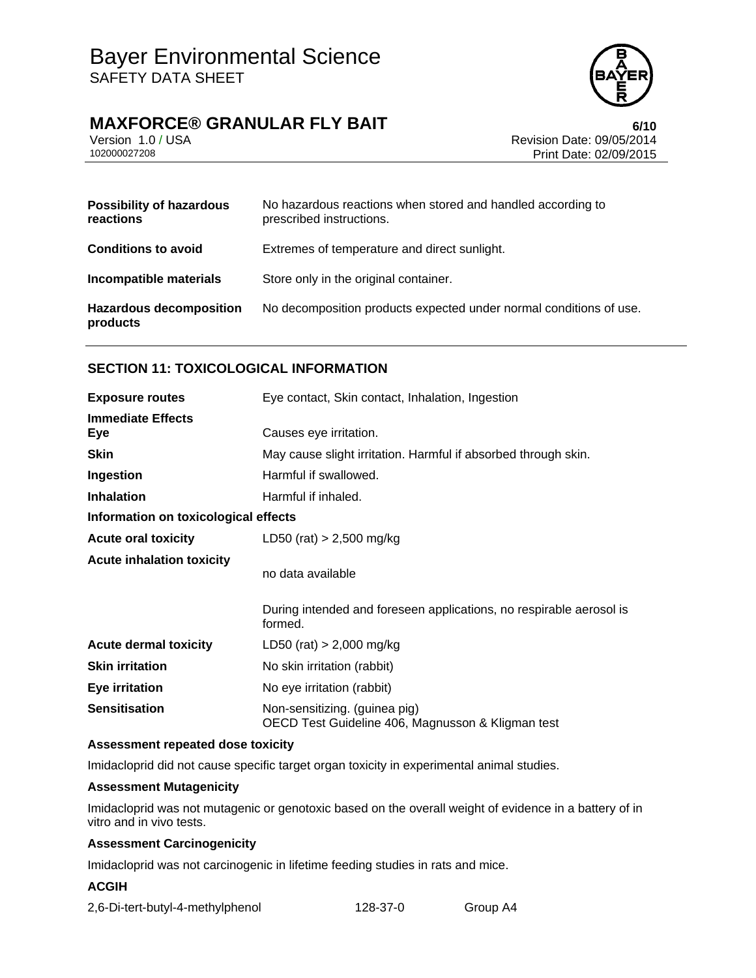## **MAXFORCE® GRANULAR FLY BAIT 6/10**



Version 1.0 / USA Revision Date: 09/05/2014<br>102000027208 Print Date: 09/05/2015 Print Date: 02/09/2015

| <b>Possibility of hazardous</b><br>reactions | No hazardous reactions when stored and handled according to<br>prescribed instructions. |
|----------------------------------------------|-----------------------------------------------------------------------------------------|
| <b>Conditions to avoid</b>                   | Extremes of temperature and direct sunlight.                                            |
| Incompatible materials                       | Store only in the original container.                                                   |
| <b>Hazardous decomposition</b><br>products   | No decomposition products expected under normal conditions of use.                      |

## **SECTION 11: TOXICOLOGICAL INFORMATION**

| <b>Exposure routes</b>               | Eye contact, Skin contact, Inhalation, Ingestion                                   |  |
|--------------------------------------|------------------------------------------------------------------------------------|--|
| <b>Immediate Effects</b><br>Eye      | Causes eye irritation.                                                             |  |
| <b>Skin</b>                          | May cause slight irritation. Harmful if absorbed through skin.                     |  |
| Ingestion                            | Harmful if swallowed.                                                              |  |
| <b>Inhalation</b>                    | Harmful if inhaled.                                                                |  |
| Information on toxicological effects |                                                                                    |  |
| <b>Acute oral toxicity</b>           | LD50 (rat) $> 2,500$ mg/kg                                                         |  |
| <b>Acute inhalation toxicity</b>     | no data available                                                                  |  |
|                                      | During intended and foreseen applications, no respirable aerosol is<br>formed.     |  |
| <b>Acute dermal toxicity</b>         | LD50 (rat) $> 2,000$ mg/kg                                                         |  |
| <b>Skin irritation</b>               | No skin irritation (rabbit)                                                        |  |
| <b>Eye irritation</b>                | No eye irritation (rabbit)                                                         |  |
| <b>Sensitisation</b>                 | Non-sensitizing. (guinea pig)<br>OECD Test Guideline 406, Magnusson & Kligman test |  |

#### **Assessment repeated dose toxicity**

Imidacloprid did not cause specific target organ toxicity in experimental animal studies.

#### **Assessment Mutagenicity**

Imidacloprid was not mutagenic or genotoxic based on the overall weight of evidence in a battery of in vitro and in vivo tests.

#### **Assessment Carcinogenicity**

Imidacloprid was not carcinogenic in lifetime feeding studies in rats and mice.

#### **ACGIH**

| 2,6-Di-tert-butyl-4-methylphenol | 128-37-0 | Group A4 |
|----------------------------------|----------|----------|
|----------------------------------|----------|----------|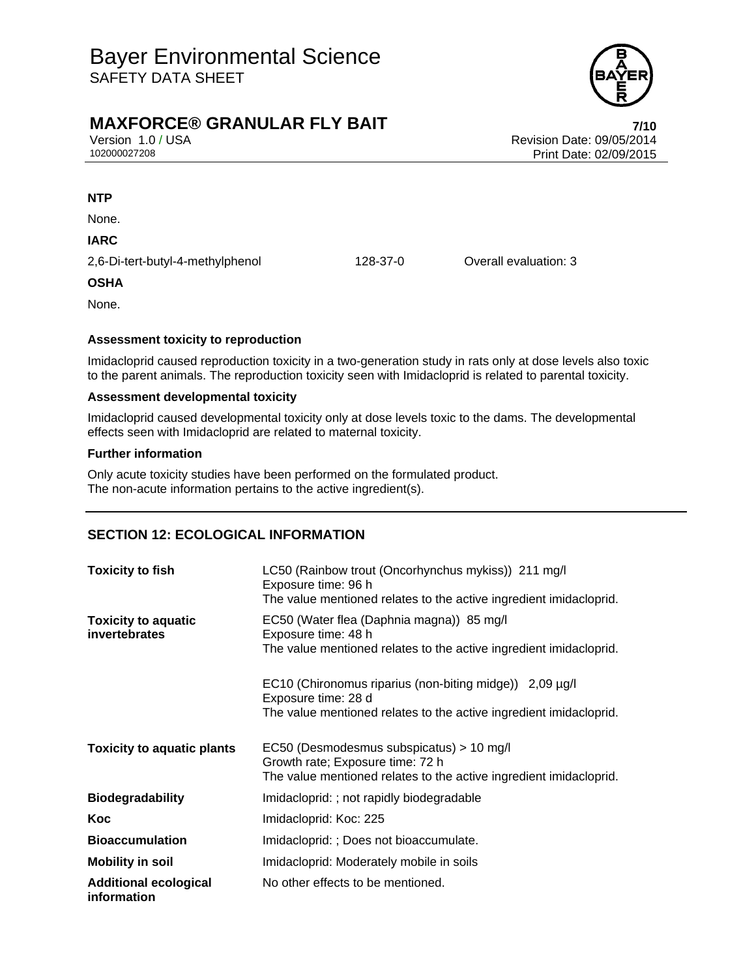

## **MAXFORCE® GRANULAR FLY BAIT** *RESERVENT CONTROLLER TITE TITE*

Version 1.0 / USA Revision Date: 09/05/2014<br>102000027208 Print Date: 09/05/2014 Print Date: 02/09/2015

**NTP** 

None.

**IARC** 

2,6-Di-tert-butyl-4-methylphenol 128-37-0 Overall evaluation: 3

#### **OSHA**

None.

#### **Assessment toxicity to reproduction**

Imidacloprid caused reproduction toxicity in a two-generation study in rats only at dose levels also toxic to the parent animals. The reproduction toxicity seen with Imidacloprid is related to parental toxicity.

#### **Assessment developmental toxicity**

Imidacloprid caused developmental toxicity only at dose levels toxic to the dams. The developmental effects seen with Imidacloprid are related to maternal toxicity.

#### **Further information**

Only acute toxicity studies have been performed on the formulated product. The non-acute information pertains to the active ingredient(s).

## **SECTION 12: ECOLOGICAL INFORMATION**

| <b>Toxicity to fish</b>                     | LC50 (Rainbow trout (Oncorhynchus mykiss)) 211 mg/l<br>Exposure time: 96 h<br>The value mentioned relates to the active ingredient imidacloprid.     |  |
|---------------------------------------------|------------------------------------------------------------------------------------------------------------------------------------------------------|--|
| <b>Toxicity to aquatic</b><br>invertebrates | EC50 (Water flea (Daphnia magna)) 85 mg/l<br>Exposure time: 48 h<br>The value mentioned relates to the active ingredient imidacloprid.               |  |
|                                             | EC10 (Chironomus riparius (non-biting midge)) 2,09 µg/l<br>Exposure time: 28 d<br>The value mentioned relates to the active ingredient imidacloprid. |  |
| <b>Toxicity to aquatic plants</b>           | EC50 (Desmodesmus subspicatus) > 10 mg/l<br>Growth rate; Exposure time: 72 h<br>The value mentioned relates to the active ingredient imidacloprid.   |  |
| <b>Biodegradability</b>                     | Imidacloprid: ; not rapidly biodegradable                                                                                                            |  |
| Koc                                         | Imidacloprid: Koc: 225                                                                                                                               |  |
| <b>Bioaccumulation</b>                      | Imidacloprid: ; Does not bioaccumulate.                                                                                                              |  |
| <b>Mobility in soil</b>                     | Imidacloprid: Moderately mobile in soils                                                                                                             |  |
| <b>Additional ecological</b><br>information | No other effects to be mentioned.                                                                                                                    |  |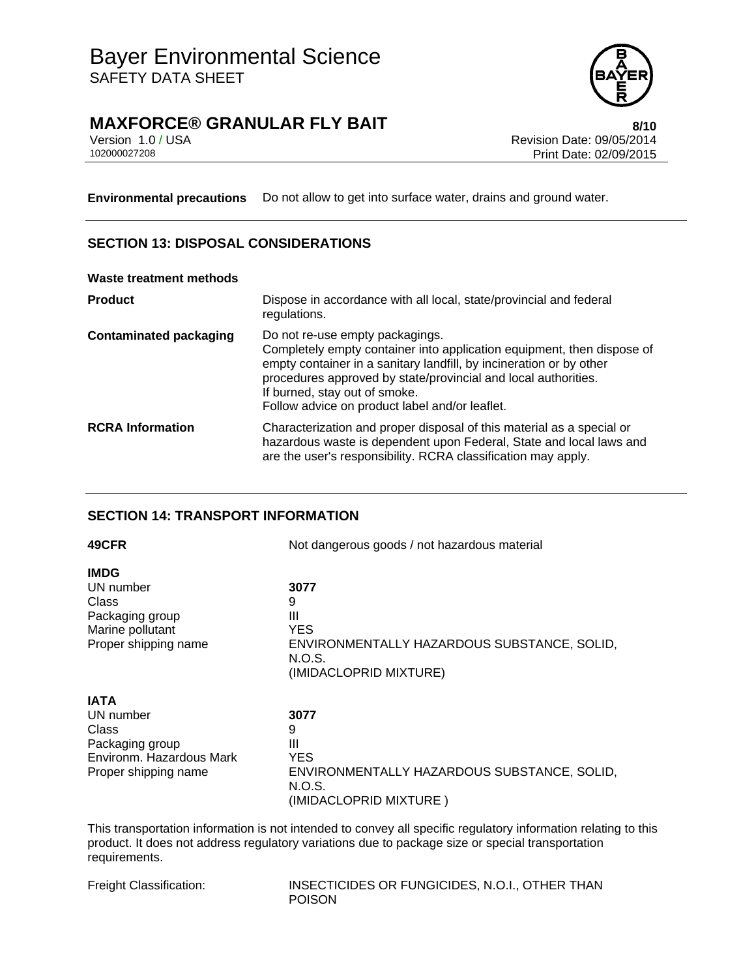# Bayer Environmental Science SAFETY DATA SHEET



**MAXFORCE® GRANULAR FLY BAIT BAIL CONSTRUCTS** 8/10

Version 1.0 / USA Revision Date: 09/05/2014<br>102000027208 Print Date: 09/05/2014 Print Date: 02/09/2015

**Environmental precautions** Do not allow to get into surface water, drains and ground water.

## **SECTION 13: DISPOSAL CONSIDERATIONS**

#### **Waste treatment methods**

| <b>Product</b>                | Dispose in accordance with all local, state/provincial and federal<br>regulations.                                                                                                                                                                                                                                                    |
|-------------------------------|---------------------------------------------------------------------------------------------------------------------------------------------------------------------------------------------------------------------------------------------------------------------------------------------------------------------------------------|
| <b>Contaminated packaging</b> | Do not re-use empty packagings.<br>Completely empty container into application equipment, then dispose of<br>empty container in a sanitary landfill, by incineration or by other<br>procedures approved by state/provincial and local authorities.<br>If burned, stay out of smoke.<br>Follow advice on product label and/or leaflet. |
| <b>RCRA Information</b>       | Characterization and proper disposal of this material as a special or<br>hazardous waste is dependent upon Federal, State and local laws and<br>are the user's responsibility. RCRA classification may apply.                                                                                                                         |

## **SECTION 14: TRANSPORT INFORMATION**

| 49CFR                    | Not dangerous goods / not hazardous material          |  |
|--------------------------|-------------------------------------------------------|--|
| <b>IMDG</b>              |                                                       |  |
| UN number                | 3077                                                  |  |
| Class<br>Packaging group | 9<br>Ш                                                |  |
| Marine pollutant         | <b>YES</b>                                            |  |
| Proper shipping name     | ENVIRONMENTALLY HAZARDOUS SUBSTANCE, SOLID,           |  |
|                          | N.O.S.<br>(IMIDACLOPRID MIXTURE)                      |  |
| <b>IATA</b>              |                                                       |  |
| UN number                | 3077                                                  |  |
| Class                    | 9                                                     |  |
| Packaging group          | Ш                                                     |  |
| Environm. Hazardous Mark | <b>YES</b>                                            |  |
| Proper shipping name     | ENVIRONMENTALLY HAZARDOUS SUBSTANCE, SOLID,<br>N.O.S. |  |
|                          | (IMIDACLOPRID MIXTURE)                                |  |

This transportation information is not intended to convey all specific regulatory information relating to this product. It does not address regulatory variations due to package size or special transportation requirements.

Freight Classification: INSECTICIDES OR FUNGICIDES, N.O.I., OTHER THAN POISON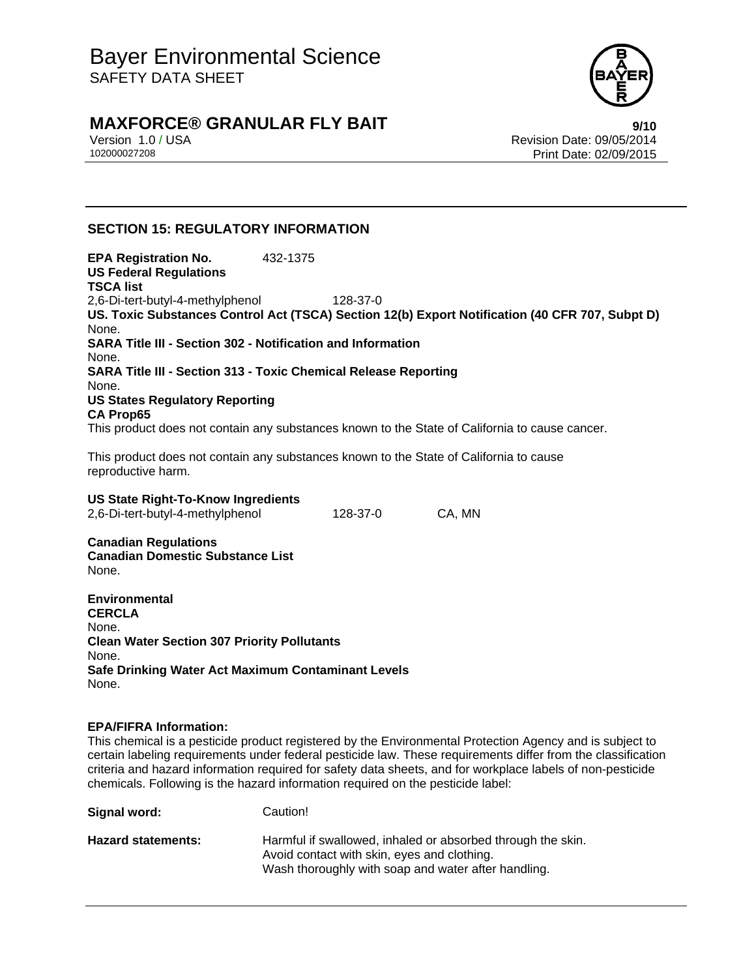

## **MAXFORCE® GRANULAR FLY BAIT BAIL CONSTRANCE BAIL**

Version 1.0 / USA Revision Date: 09/05/2014<br>102000027208 Print Date: 09/05/2014 Print Date: 02/09/2015

## **SECTION 15: REGULATORY INFORMATION**

**EPA Registration No.** 432-1375 **US Federal Regulations TSCA list** 2,6-Di-tert-butyl-4-methylphenol 128-37-0 **US. Toxic Substances Control Act (TSCA) Section 12(b) Export Notification (40 CFR 707, Subpt D)** None. **SARA Title III - Section 302 - Notification and Information** None. **SARA Title III - Section 313 - Toxic Chemical Release Reporting** None. **US States Regulatory Reporting CA Prop65** This product does not contain any substances known to the State of California to cause cancer.

This product does not contain any substances known to the State of California to cause reproductive harm.

| <b>US State Right-To-Know Ingredients</b> |          |        |
|-------------------------------------------|----------|--------|
| 2,6-Di-tert-butyl-4-methylphenol          | 128-37-0 | CA. MN |

**Canadian Regulations Canadian Domestic Substance List**  None.

**Environmental CERCLA**  None. **Clean Water Section 307 Priority Pollutants**  None. **Safe Drinking Water Act Maximum Contaminant Levels**  None.

#### **EPA/FIFRA Information:**

This chemical is a pesticide product registered by the Environmental Protection Agency and is subject to certain labeling requirements under federal pesticide law. These requirements differ from the classification criteria and hazard information required for safety data sheets, and for workplace labels of non-pesticide chemicals. Following is the hazard information required on the pesticide label:

| Signal word:              | Caution!                                                                                                                                                          |
|---------------------------|-------------------------------------------------------------------------------------------------------------------------------------------------------------------|
| <b>Hazard statements:</b> | Harmful if swallowed, inhaled or absorbed through the skin.<br>Avoid contact with skin, eyes and clothing.<br>Wash thoroughly with soap and water after handling. |